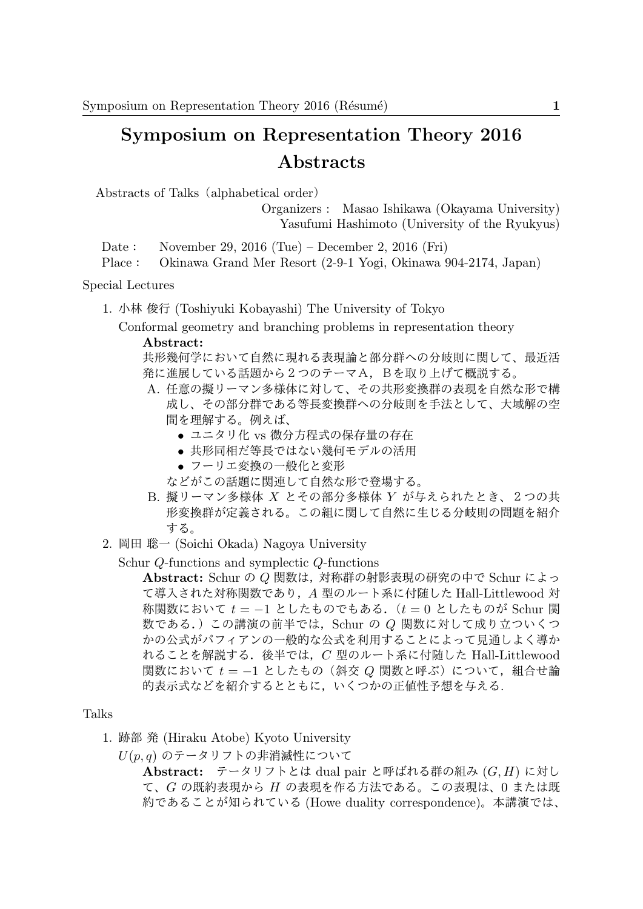## **Symposium on Representation Theory 2016 Abstracts**

Abstracts of Talks (alphabetical order)

Organizers : Masao Ishikawa (Okayama University) Yasufumi Hashimoto (University of the Ryukyus)

Date: November 29, 2016 (Tue) – December 2, 2016 (Fri)

Place: Okinawa Grand Mer Resort (2-9-1 Yogi, Okinawa 904-2174, Japan)

Special Lectures

1. 小林 俊行 (Toshiyuki Kobayashi) The University of Tokyo

Conformal geometry and branching problems in representation theory **Abstract:**

共形幾何学において自然に現れる表現論と部分群への分岐則に関して、最近活 発に進展している話題から2つのテーマA,Bを取り上げて概説する。

- A. 任意の擬リーマン多様体に対して、その共形変換群の表現を自然な形で構 成し、その部分群である等長変換群への分岐則を手法として、大域解の空 間を理解する。例えば、
	- *•* ユニタリ化 vs 微分方程式の保存量の存在
	- *•* 共形同相だ等長ではない幾何モデルの活用
	- *•* フーリエ変換の一般化と変形

などがこの話題に関連して自然な形で登場する。

- B. 擬リーマン多様体 *X* とその部分多様体 *Y* が与えられたとき、2つの共 形変換群が定義される。この組に関して自然に生じる分岐則の問題を紹介 する。
- 2. 岡田 聡一 (Soichi Okada) Nagoya University

Schur *Q*-functions and symplectic *Q*-functions

**Abstract:** Schur の *Q* 関数は,対称群の射影表現の研究の中で Schur によっ て導入された対称関数であり,*A* 型のルート系に付随した Hall-Littlewood 対 称関数において *t* = *−*1 としたものでもある.(*t* = 0 としたものが Schur <sup>関</sup> 数である.)この講演の前半では,Schur の *Q* 関数に対して成り立ついくつ かの公式がパフィアンの一般的な公式を利用することによって見通しよく導か れることを解説する.後半では,*C* 型のルート系に付随した Hall-Littlewood 関数において  $t = -1$  としたもの (斜交 Q 関数と呼ぶ) について, 組合せ論 的表示式などを紹介するとともに,いくつかの正値性予想を与える.

## Talks

- 1. 跡部 発 (Hiraku Atobe) Kyoto University
	- *U*(*p, q*) のテータリフトの非消滅性について

**Abstract:** テータリフトとは dual pair と呼ばれる群の組み (*G, H*) に対し て、*G* の既約表現から *H* の表現を作る方法である。この表現は、0 または既 約であることが知られている (Howe duality correspondence)。本講演では、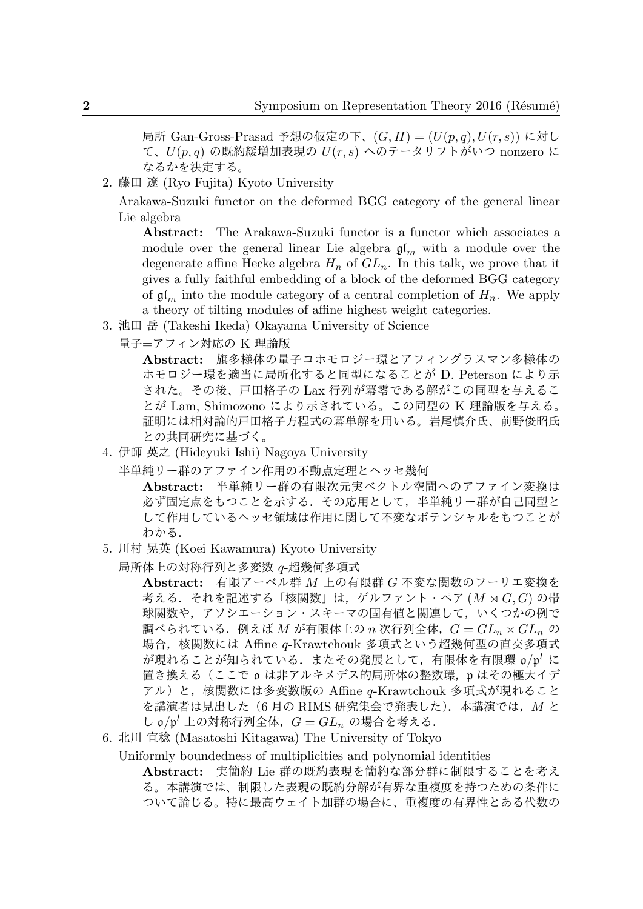局所 Gan-Gross-Prasad 予想の仮定の下、(*G, H*) = (*U*(*p, q*)*, U*(*r, s*)) に対し て、*U*(*p, q*) の既約緩増加表現の *U*(*r, s*) へのテータリフトがいつ nonzero に なるかを決定する。

2. 藤田 遼 (Ryo Fujita) Kyoto University

Arakawa-Suzuki functor on the deformed BGG category of the general linear Lie algebra

**Abstract:** The Arakawa-Suzuki functor is a functor which associates a module over the general linear Lie algebra  $\mathfrak{gl}_m$  with a module over the degenerate affine Hecke algebra  $H_n$  of  $GL_n$ . In this talk, we prove that it gives a fully faithful embedding of a block of the deformed BGG category of  $\mathfrak{gl}_m$  into the module category of a central completion of  $H_n$ . We apply a theory of tilting modules of affine highest weight categories.

- 3. 池田 岳 (Takeshi Ikeda) Okayama University of Science
	- 量子=アフィン対応の K 理論版

**Abstract:** 旗多様体の量子コホモロジー環とアフィングラスマン多様体の ホモロジー環を適当に局所化すると同型になることが D. Peterson により示 された。その後、戸田格子の Lax 行列が冪零である解がこの同型を与えるこ とが Lam, Shimozono により示されている。この同型の K 理論版を与える。 証明には相対論的戸田格子方程式の冪単解を用いる。岩尾慎介氏、前野俊昭氏 との共同研究に基づく。

4. 伊師 英之 (Hideyuki Ishi) Nagoya University

半単純リー群のアファイン作用の不動点定理とヘッセ幾何

**Abstract:** 半単純リー群の有限次元実ベクトル空間へのアファイン変換は 必ず固定点をもつことを示する.その応用として,半単純リー群が自己同型と して作用しているヘッセ領域は作用に関して不変なポテンシャルをもつことが わかる.

- 5. 川村 晃英 (Koei Kawamura) Kyoto University
	- 局所体上の対称行列と多変数 *q*-超幾何多項式

**Abstract:** 有限アーベル群 *M* 上の有限群 *G* 不変な関数のフーリエ変換を 考える.それを記述する「核関数」は,ゲルファント・ペア (*M* ⋊ *G, G*) の帯 球関数や、アソシエーション・スキーマの固有値と関連して、いくつかの例で 調べられている.例えば *M* が有限体上の *n* 次行列全体,*G* = *GL<sup>n</sup> × GL<sup>n</sup>* <sup>の</sup> 場合,核関数には Affine *q*-Krawtchouk 多項式という超幾何型の直交多項式 が現れることが知られている.またその発展として,有限体を有限環 o*/*p *<sup>l</sup>* に 置き換える(ここで o は非アルキメデス的局所体の整数環,p はその極大イデ アル)と,核関数には多変数版の Affine *q*-Krawtchouk 多項式が現れること を講演者は見出した(6 月の RIMS 研究集会で発表した).本講演では,*M* と し o*/*p *<sup>l</sup>* 上の対称行列全体,*G* = *GL<sup>n</sup>* の場合を考える.

6. 北川 宜稔 (Masatoshi Kitagawa) The University of Tokyo

Uniformly boundedness of multiplicities and polynomial identities

**Abstract:** 実簡約 Lie 群の既約表現を簡約な部分群に制限することを考え る。本講演では、制限した表現の既約分解が有界な重複度を持つための条件に ついて論じる。特に最高ウェイト加群の場合に、重複度の有界性とある代数の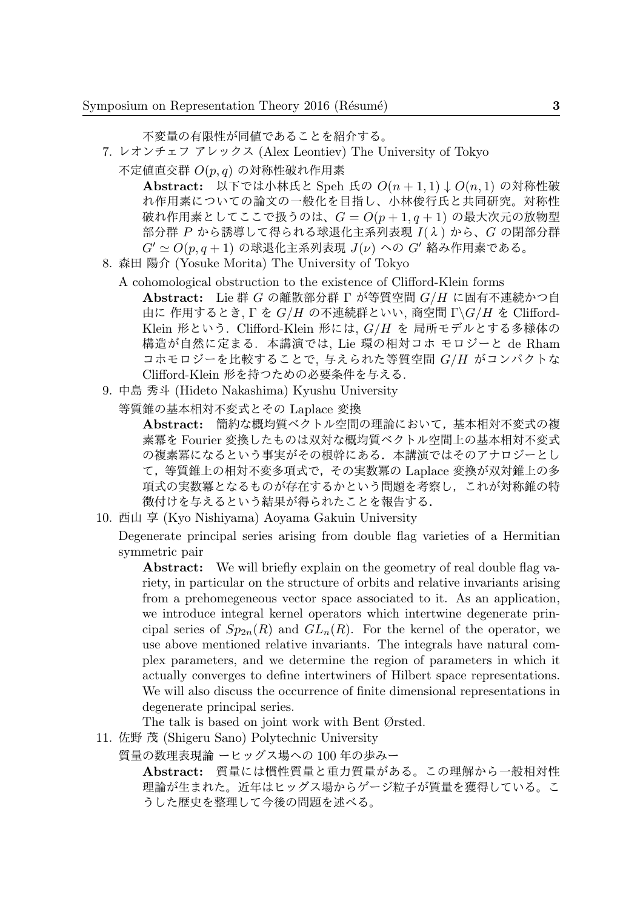不変量の有限性が同値であることを紹介する。

- 7. レオンチェフ アレックス (Alex Leontiev) The University of Tokyo
	- 不定値直交群 *O*(*p, q*) の対称性破れ作用素

**Abstract:** 以下では小林氏と Speh 氏の *O*(*n* + 1*,* 1) *↓ O*(*n,* 1) の対称性破 れ作用素についての論文の一般化を目指し、小林俊行氏と共同研究。対称性 破れ作用素としてここで扱うのは、*G* = *O*(*p* + 1*, q* + 1) の最大次元の放物型 部分群 *P* から誘導して得られる球退化主系列表現 *I*(λ) から、*G* の閉部分群 *G′ ≃ O*(*p, q* + 1) の球退化主系列表現 *J*(*ν*) への *G′* 絡み作用素である。

- 8. 森田 陽介 (Yosuke Morita) The University of Tokyo
	- A cohomological obstruction to the existence of Clifford-Klein forms
		- **Abstract:** Lie 群 *G* の離散部分群 Γ が等質空間 *G/H* に固有不連続かつ自 由に 作用するとき, Γ <sup>を</sup> *G/H* の不連続群といい, 商空間 Γ*\G/H* <sup>を</sup> Clifford-Klein 形という. Clifford-Klein 形には, *G/H* を 局所モデルとする多様体の 構造が自然に定まる. 本講演では, Lie 環の相対コホ モロジーと de Rham コホモロジーを比較することで, 与えられた等質空間 *G/H* がコンパクトな Clifford-Klein 形を持つための必要条件を与える.
- 9. 中島 秀斗 (Hideto Nakashima) Kyushu University
	- 等質錐の基本相対不変式とその Laplace 変換

**Abstract:** 簡約な概均質ベクトル空間の理論において,基本相対不変式の複 素冪を Fourier 変換したものは双対な概均質ベクトル空間上の基本相対不変式 の複素冪になるという事実がその根幹にある.本講演ではそのアナロジーとし て,等質錐上の相対不変多項式で,その実数冪の Laplace 変換が双対錐上の多 項式の実数冪となるものが存在するかという問題を考察し,これが対称錐の特 徴付けを与えるという結果が得られたことを報告する.

10. 西山 享 (Kyo Nishiyama) Aoyama Gakuin University

Degenerate principal series arising from double flag varieties of a Hermitian symmetric pair

**Abstract:** We will briefly explain on the geometry of real double flag variety, in particular on the structure of orbits and relative invariants arising from a prehomegeneous vector space associated to it. As an application, we introduce integral kernel operators which intertwine degenerate principal series of  $Sp_{2n}(R)$  and  $GL_n(R)$ . For the kernel of the operator, we use above mentioned relative invariants. The integrals have natural complex parameters, and we determine the region of parameters in which it actually converges to define intertwiners of Hilbert space representations. We will also discuss the occurrence of finite dimensional representations in degenerate principal series.

The talk is based on joint work with Bent Ørsted.

- 11. 佐野 茂 (Shigeru Sano) Polytechnic University
	- 質量の数理表現論 ーヒッグス場への 100 年の歩みー

**Abstract:** 質量には慣性質量と重力質量がある。この理解から一般相対性 理論が生まれた。近年はヒッグス場からゲージ粒子が質量を獲得している。こ うした歴史を整理して今後の問題を述べる。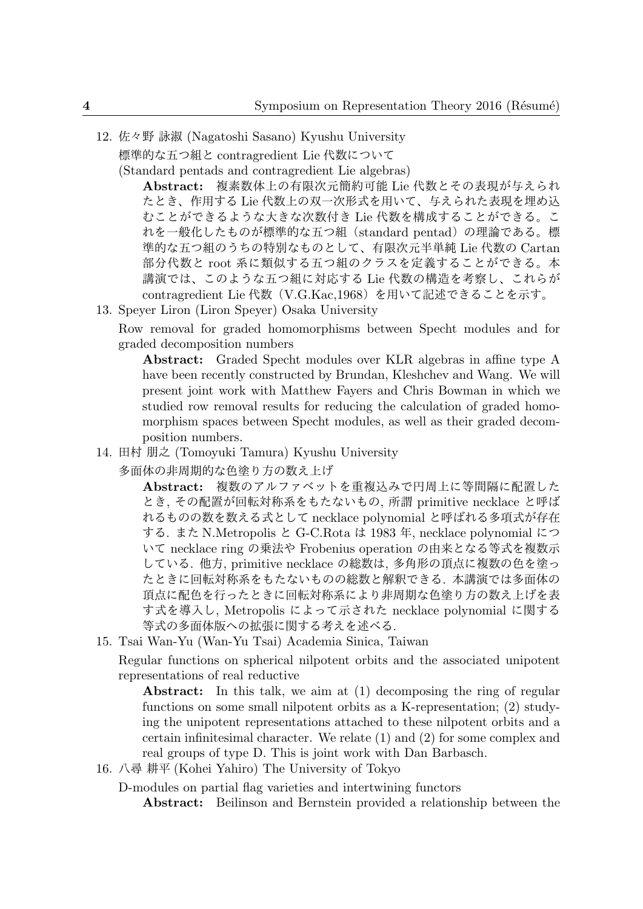12. 佐々野 詠淑 (Nagatoshi Sasano) Kyushu University 標準的な五つ組と contragredient Lie 代数について

(Standard pentads and contragredient Lie algebras)

**Abstract:** 複素数体上の有限次元簡約可能 Lie 代数とその表現が与えられ たとき、作用する Lie 代数上の双一次形式を用いて、与えられた表現を埋め込 むことができるような大きな次数付き Lie 代数を構成することができる。こ れを一般化したものが標準的な五つ組(standard pentad)の理論である。標 準的な五つ組のうちの特別なものとして、有限次元半単純 Lie 代数の Cartan 部分代数と root 系に類似する五つ組のクラスを定義することができる。本 講演では、このような五つ組に対応する Lie 代数の構造を考察し、これらが contragredient Lie 代数(V.G.Kac,1968)を用いて記述できることを示す。

13. Speyer Liron (Liron Speyer) Osaka University

Row removal for graded homomorphisms between Specht modules and for graded decomposition numbers

**Abstract:** Graded Specht modules over KLR algebras in affine type A have been recently constructed by Brundan, Kleshchev and Wang. We will present joint work with Matthew Fayers and Chris Bowman in which we studied row removal results for reducing the calculation of graded homomorphism spaces between Specht modules, as well as their graded decomposition numbers.

14. 田村 朋之 (Tomoyuki Tamura) Kyushu University

多面体の非周期的な色塗り方の数え上げ

**Abstract:** 複数のアルファベットを重複込みで円周上に等間隔に配置した とき, その配置が回転対称系をもたないもの, 所謂 primitive necklace と呼ば れるものの数を数える式として necklace polynomial と呼ばれる多項式が存在 する. また N.Metropolis と G-C.Rota は 1983 年, necklace polynomial につ いて necklace ring の乗法や Frobenius operation の由来となる等式を複数示 している. 他方, primitive necklace の総数は, 多角形の頂点に複数の色を塗っ たときに回転対称系をもたないものの総数と解釈できる. 本講演では多面体の 頂点に配色を行ったときに回転対称系により非周期な色塗り方の数え上げを表 す式を導入し, Metropolis によって示された necklace polynomial に関する 等式の多面体版への拡張に関する考えを述べる.

15. Tsai Wan-Yu (Wan-Yu Tsai) Academia Sinica, Taiwan

Regular functions on spherical nilpotent orbits and the associated unipotent representations of real reductive

**Abstract:** In this talk, we aim at (1) decomposing the ring of regular functions on some small nilpotent orbits as a K-representation; (2) studying the unipotent representations attached to these nilpotent orbits and a certain infinitesimal character. We relate (1) and (2) for some complex and real groups of type D. This is joint work with Dan Barbasch.

16. 八尋 耕平 (Kohei Yahiro) The University of Tokyo

D-modules on partial flag varieties and intertwining functors

**Abstract:** Beilinson and Bernstein provided a relationship between the